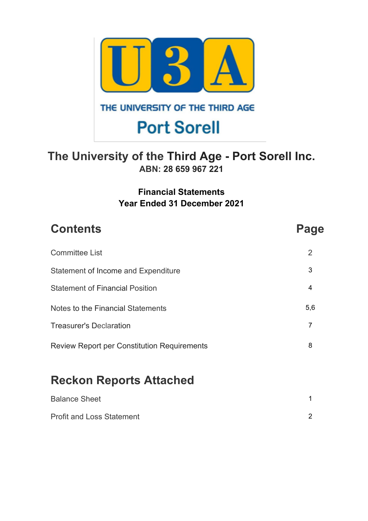

### THE UNIVERSITY OF THE THIRD AGE

# **Port Sorell**

## **The University of the Third Age - Port Sorell Inc. ABN: 28 659 967 221**

### **Financial Statements Year Ended 31 December 2021**

| <b>Contents</b>                                    | Page           |
|----------------------------------------------------|----------------|
| <b>Committee List</b>                              | 2              |
| <b>Statement of Income and Expenditure</b>         | 3              |
| <b>Statement of Financial Position</b>             | 4              |
| Notes to the Financial Statements                  | 5,6            |
| <b>Treasurer's Declaration</b>                     | $\overline{7}$ |
| <b>Review Report per Constitution Requirements</b> | 8              |
| <b>Reckon Reports Attached</b>                     |                |
| <b>Balance Sheet</b>                               |                |

Profit and Loss Statement 2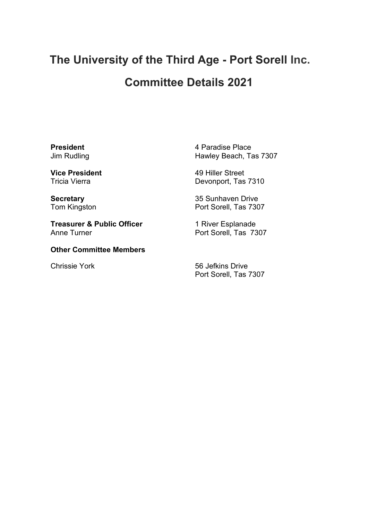## **The University of the Third Age - Port Sorell Inc.**

## **Committee Details 2021**

**President** Jim Rudling

**Vice President** Tricia Vierra

**Secretary** Tom Kingston

**Treasurer & Public Officer** Anne Turner

**Other Committee Members**

4 Paradise Place Hawley Beach, Tas 7307

49 Hiller Street Devonport, Tas 7310

35 Sunhaven Drive Port Sorell, Tas 7307

1 River Esplanade Port Sorell, Tas 7307

Chrissie York 56 Jefkins Drive Port Sorell, Tas 7307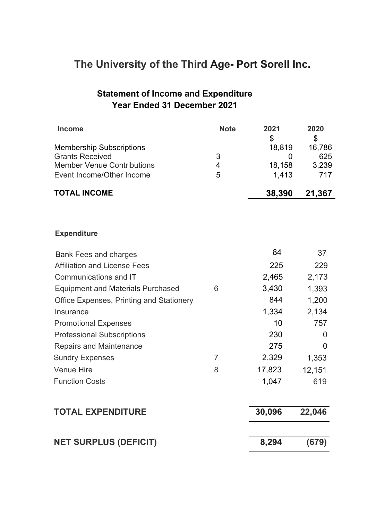## **The University of the Third Age- Port Sorell Inc.**

### **Statement of Income and Expenditure Year Ended 31 December 2021**

| <b>Income</b>                                   | <b>Note</b>    | 2021<br>\$ | 2020<br>$\mathfrak{S}$ |
|-------------------------------------------------|----------------|------------|------------------------|
| <b>Membership Subscriptions</b>                 |                | 18,819     | 16,786                 |
| <b>Grants Received</b>                          | 3              | 0          | 625                    |
| <b>Member Venue Contributions</b>               | $\overline{4}$ | 18,158     | 3,239                  |
| Event Income/Other Income                       | 5              | 1,413      | 717                    |
| <b>TOTAL INCOME</b>                             |                | 38,390     | 21,367                 |
|                                                 |                |            |                        |
| <b>Expenditure</b>                              |                |            |                        |
| <b>Bank Fees and charges</b>                    |                | 84         | 37                     |
| <b>Affiliation and License Fees</b>             |                | 225        | 229                    |
| Communications and IT                           |                | 2,465      | 2,173                  |
| <b>Equipment and Materials Purchased</b>        | 6              | 3,430      | 1,393                  |
| <b>Office Expenses, Printing and Stationery</b> |                | 844        | 1,200                  |
| Insurance                                       |                | 1,334      | 2,134                  |
| <b>Promotional Expenses</b>                     |                | 10         | 757                    |
| <b>Professional Subscriptions</b>               |                | 230        | $\overline{0}$         |
| <b>Repairs and Maintenance</b>                  |                | 275        | $\overline{0}$         |
| <b>Sundry Expenses</b>                          | $\overline{7}$ | 2,329      | 1,353                  |
| <b>Venue Hire</b>                               | 8              | 17,823     | 12,151                 |
| <b>Function Costs</b>                           |                | 1,047      | 619                    |
| <b>TOTAL EXPENDITURE</b>                        |                | 30,096     | 22,046                 |
| <b>NET SURPLUS (DEFICIT)</b>                    |                | 8,294      | (679)                  |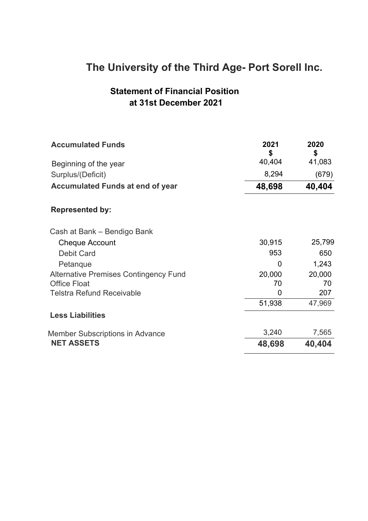## **The University of the Third Age- Port Sorell Inc.**

### **Statement of Financial Position at 31st December 2021**

| <b>Accumulated Funds</b>                     | 2021<br>S | 2020<br>\$ |
|----------------------------------------------|-----------|------------|
| Beginning of the year                        | 40,404    | 41,083     |
| Surplus/(Deficit)                            | 8,294     | (679)      |
| <b>Accumulated Funds at end of year</b>      | 48,698    | 40,404     |
| <b>Represented by:</b>                       |           |            |
| Cash at Bank - Bendigo Bank                  |           |            |
| <b>Cheque Account</b>                        | 30,915    | 25,799     |
| <b>Debit Card</b>                            | 953       | 650        |
| Petanque                                     | 0         | 1,243      |
| <b>Alternative Premises Contingency Fund</b> | 20,000    | 20,000     |
| <b>Office Float</b>                          | 70        | 70         |
| <b>Telstra Refund Receivable</b>             | 0         | 207        |
|                                              | 51,938    | 47,969     |
| <b>Less Liabilities</b>                      |           |            |
| <b>Member Subscriptions in Advance</b>       | 3,240     | 7,565      |
| <b>NET ASSETS</b>                            | 48,698    | 40,404     |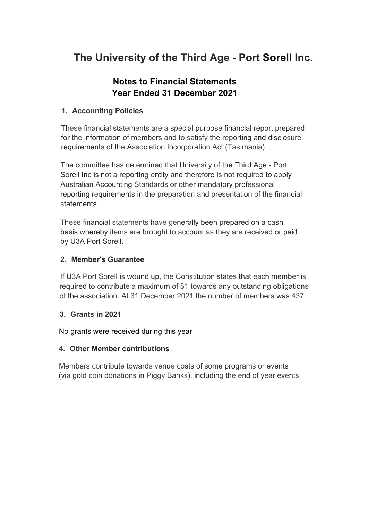## **The University of the Third Age - Port Sorell Inc.**

### **Notes to Financial Statements Year Ended 31 December 2021**

#### **1. Accounting Policies**

These financial statements are a special purpose financial report prepared for the information of members and to satisfy the reporting and disclosure requirements of the Association Incorporation Act (Tas mania)

The committee has determined that University of the Third Age - Port Sorell Inc is not a reporting entity and therefore is not required to apply Australian Accounting Standards or other mandatory professional reporting requirements in the preparation and presentation of the financial statements.

These financial statements have generally been prepared on a cash basis whereby items are brought to account as they are received or paid by U3A Port Sorell.

#### **2. Member's Guarantee**

If U3A Port Sorell is wound up, the Constitution states that each member is required to contribute a maximum of \$1 towards any outstanding obligations of the association. At 31 December 2021 the number of members was 437

#### **3. Grants in 2021**

No grants were received during this year

#### **4. Other Member contributions**

Members contribute towards venue costs of some programs or events (via gold coin donations in Piggy Banks), including the end of year events.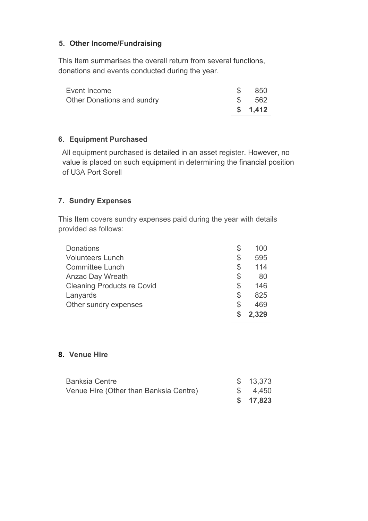#### **5. Other Income/Fundraising**

This Item summarises the overall return from several functions, donations and events conducted during the year.

| Event Income               | -850            |
|----------------------------|-----------------|
| Other Donations and sundry | $\text{\$}$ 562 |
|                            | \$1,412         |

#### **6. Equipment Purchased**

All equipment purchased is detailed in an asset register. However, no value is placed on such equipment in determining the financial position of U3A Port Sorell

#### **7. Sundry Expenses**

This Item covers sundry expenses paid during the year with details provided as follows:

| Other sundry expenses             | \$ | 469<br>2.329 |
|-----------------------------------|----|--------------|
| Lanyards                          | \$ | 825          |
| <b>Cleaning Products re Covid</b> | \$ | 146          |
| <b>Anzac Day Wreath</b>           | \$ | 80           |
| <b>Committee Lunch</b>            | S  | 114          |
| <b>Volunteers Lunch</b>           | \$ | 595          |
| <b>Donations</b>                  | S  | 100          |

#### **8. Venue Hire**

| Venue Hire (Other than Banksia Centre) | \$4.450   |
|----------------------------------------|-----------|
|                                        | \$ 17,823 |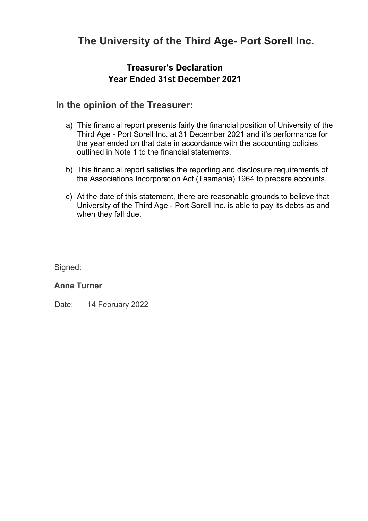## **The University of the Third Age- Port Sorell Inc.**

### **Treasurer's Declaration Year Ended 31st December 2021**

### **In the opinion of the Treasurer:**

- a) This financial report presents fairly the financial position of University of the Third Age - Port Sorell Inc. at 31 December 2021 and it's performance for the year ended on that date in accordance with the accounting policies outlined in Note 1 to the financial statements.
- b) This financial report satisfies the reporting and disclosure requirements of the Associations Incorporation Act (Tasmania) 1964 to prepare accounts.
- c) At the date of this statement, there are reasonable grounds to believe that University of the Third Age - Port Sorell Inc. is able to pay its debts as and when they fall due.

Signed:

#### **Anne Turner**

Date: 14 February 2022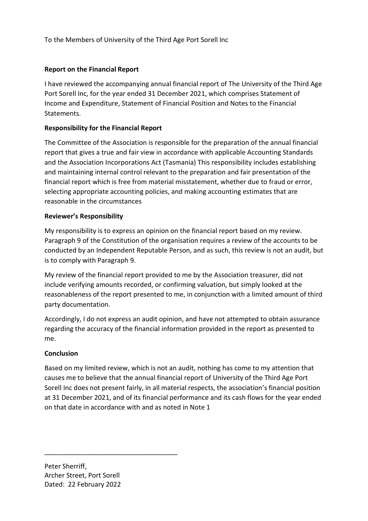To the Members of University of the Third Age Port Sorell Inc

#### Report on the Financial Report

I have reviewed the accompanying annual financial report of The University of the Third Age Port Sorell Inc, for the year ended 31 December 2021, which comprises Statement of Income and Expenditure, Statement of Financial Position and Notes to the Financial **Statements** 

#### Responsibility for the Financial Report

The Committee of the Association is responsible for the preparation of the annual financial report that gives a true and fair view in accordance with applicable Accounting Standards and the Association Incorporations Act (Tasmania) This responsibility includes establishing and maintaining internal control relevant to the preparation and fair presentation of the financial report which is free from material misstatement, whether due to fraud or error, selecting appropriate accounting policies, and making accounting estimates that are reasonable in the circumstances

#### Reviewer's Responsibility

My responsibility is to express an opinion on the financial report based on my review. Paragraph 9 of the Constitution of the organisation requires a review of the accounts to be conducted by an Independent Reputable Person, and as such, this review is not an audit, but is to comply with Paragraph 9.

My review of the financial report provided to me by the Association treasurer, did not include verifying amounts recorded, or confirming valuation, but simply looked at the reasonableness of the report presented to me, in conjunction with a limited amount of third party documentation.

Accordingly, I do not express an audit opinion, and have not attempted to obtain assurance regarding the accuracy of the financial information provided in the report as presented to me.

#### **Conclusion**

Based on my limited review, which is not an audit, nothing has come to my attention that causes me to believe that the annual financial report of University of the Third Age Port Sorell Inc does not present fairly, in all material respects, the association's financial position at 31 December 2021, and of its financial performance and its cash flows for the year ended on that date in accordance with and as noted in Note 1

Peter Sherriff, Archer Street, Port Sorell Dated: 22 February 2022

\_\_\_\_\_\_\_\_\_\_\_\_\_\_\_\_\_\_\_\_\_\_\_\_\_\_\_\_\_\_\_\_\_\_\_\_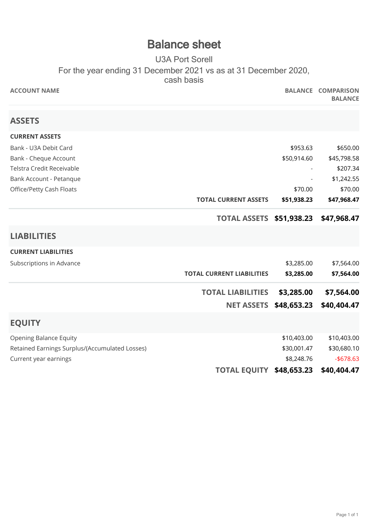## **Balance sheet**

### U3A Port Sorell For the year ending 31 December 2021 vs as at 31 December 2020, cash basis

| <b>ACCOUNT NAME</b>                            |                                  |             | <b>BALANCE COMPARISON</b><br><b>BALANCE</b> |
|------------------------------------------------|----------------------------------|-------------|---------------------------------------------|
| <b>ASSETS</b>                                  |                                  |             |                                             |
| <b>CURRENT ASSETS</b>                          |                                  |             |                                             |
| Bank - U3A Debit Card                          |                                  | \$953.63    | \$650.00                                    |
| Bank - Cheque Account                          |                                  | \$50,914.60 | \$45,798.58                                 |
| Telstra Credit Receivable                      |                                  |             | \$207.34                                    |
| Bank Account - Petanque                        |                                  |             | \$1,242.55                                  |
| Office/Petty Cash Floats                       |                                  | \$70.00     | \$70.00                                     |
|                                                | <b>TOTAL CURRENT ASSETS</b>      | \$51,938.23 | \$47,968.47                                 |
|                                                | <b>TOTAL ASSETS \$51,938.23</b>  |             | \$47,968.47                                 |
| <b>LIABILITIES</b>                             |                                  |             |                                             |
| <b>CURRENT LIABILITIES</b>                     |                                  |             |                                             |
| Subscriptions in Advance                       |                                  | \$3,285.00  | \$7,564.00                                  |
|                                                | <b>TOTAL CURRENT LIABILITIES</b> | \$3,285.00  | \$7,564.00                                  |
|                                                | <b>TOTAL LIABILITIES</b>         | \$3,285.00  | \$7,564.00                                  |
|                                                | <b>NET ASSETS</b>                | \$48,653.23 | \$40,404.47                                 |
| <b>EQUITY</b>                                  |                                  |             |                                             |
| <b>Opening Balance Equity</b>                  |                                  | \$10,403.00 | \$10,403.00                                 |
| Retained Earnings Surplus/(Accumulated Losses) |                                  | \$30,001.47 | \$30,680.10                                 |
| Current year earnings                          |                                  | \$8,248.76  | $- $678.63$                                 |
|                                                | <b>TOTAL EQUITY</b>              | \$48,653.23 | \$40,404.47                                 |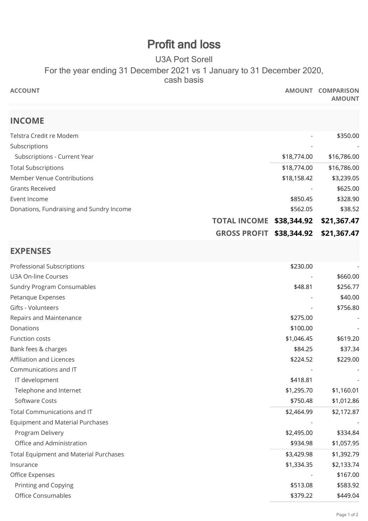## **Profit and loss**

### U3A Port Sorell For the year ending 31 December 2021 vs 1 January to 31 December 2020, cash basis

| <b>ACCOUNT</b>                                |                                    | AMOUNT COMPARISON<br><b>AMOUNT</b> |
|-----------------------------------------------|------------------------------------|------------------------------------|
| <b>INCOME</b>                                 |                                    |                                    |
| Telstra Credit re Modem                       |                                    | \$350.00                           |
| Subscriptions                                 |                                    |                                    |
| Subscriptions - Current Year                  | \$18,774.00                        | \$16,786.00                        |
| <b>Total Subscriptions</b>                    | \$18,774.00                        | \$16,786.00                        |
| Member Venue Contributions                    | \$18,158.42                        | \$3,239.05                         |
| <b>Grants Received</b>                        |                                    | \$625.00                           |
| Event Income                                  | \$850.45                           | \$328.90                           |
| Donations, Fundraising and Sundry Income      | \$562.05                           | \$38.52                            |
|                                               | <b>TOTAL INCOME</b><br>\$38,344.92 | \$21,367.47                        |
|                                               | <b>GROSS PROFIT</b><br>\$38,344.92 | \$21,367.47                        |
| <b>EXPENSES</b>                               |                                    |                                    |
| Professional Subscriptions                    | \$230.00                           |                                    |
| U3A On-line Courses                           |                                    | \$660.00                           |
| <b>Sundry Program Consumables</b>             | \$48.81                            | \$256.77                           |
| Petanque Expenses                             |                                    | \$40.00                            |
| Gifts - Volunteers                            |                                    | \$756.80                           |
| Repairs and Maintenance                       | \$275.00                           |                                    |
| Donations                                     | \$100.00                           |                                    |
| <b>Function costs</b>                         | \$1,046.45                         | \$619.20                           |
| Bank fees & charges                           | \$84.25                            | \$37.34                            |
| Affiliation and Licences                      | \$224.52                           | \$229.00                           |
| Communications and IT                         |                                    |                                    |
| IT development                                | \$418.81                           |                                    |
| Telephone and Internet                        | \$1,295.70                         | \$1,160.01                         |
| Software Costs                                | \$750.48                           | \$1,012.86                         |
| Total Communications and IT                   | \$2,464.99                         | \$2,172.87                         |
| <b>Equipment and Material Purchases</b>       |                                    |                                    |
| Program Delivery                              | \$2,495.00                         | \$334.84                           |
| Office and Administration                     | \$934.98                           | \$1,057.95                         |
| <b>Total Equipment and Material Purchases</b> | \$3,429.98                         | \$1,392.79                         |
| Insurance                                     | \$1,334.35                         | \$2,133.74                         |
| Office Expenses                               |                                    | \$167.00                           |